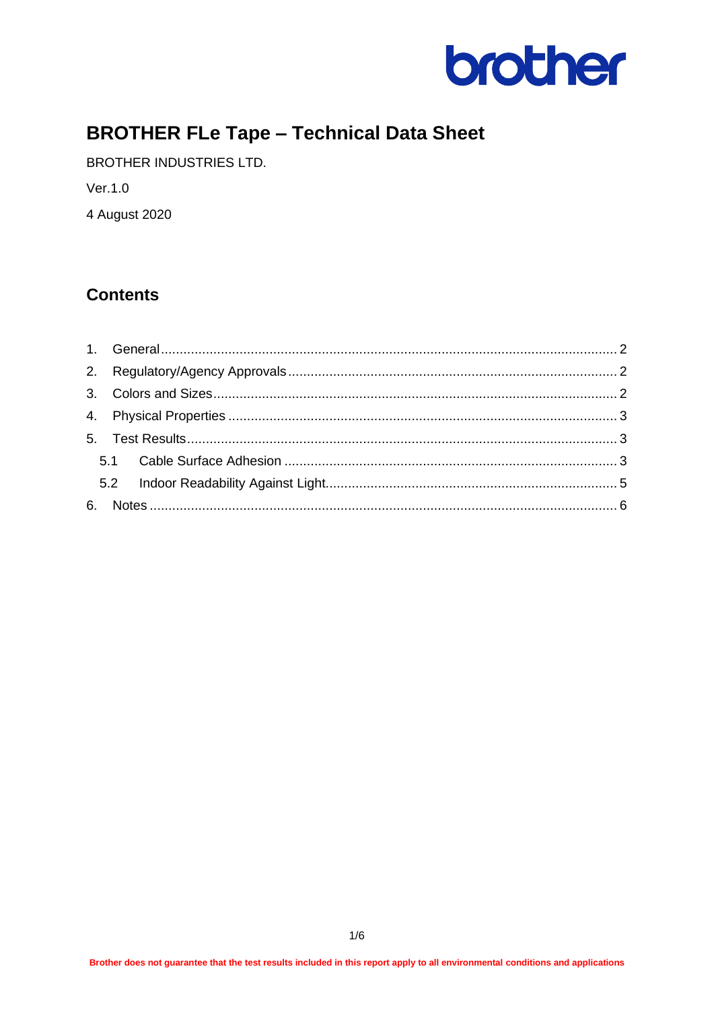

# **BROTHER FLe Tape - Technical Data Sheet**

BROTHER INDUSTRIES LTD.

Ver.1.0

4 August 2020

## **Contents**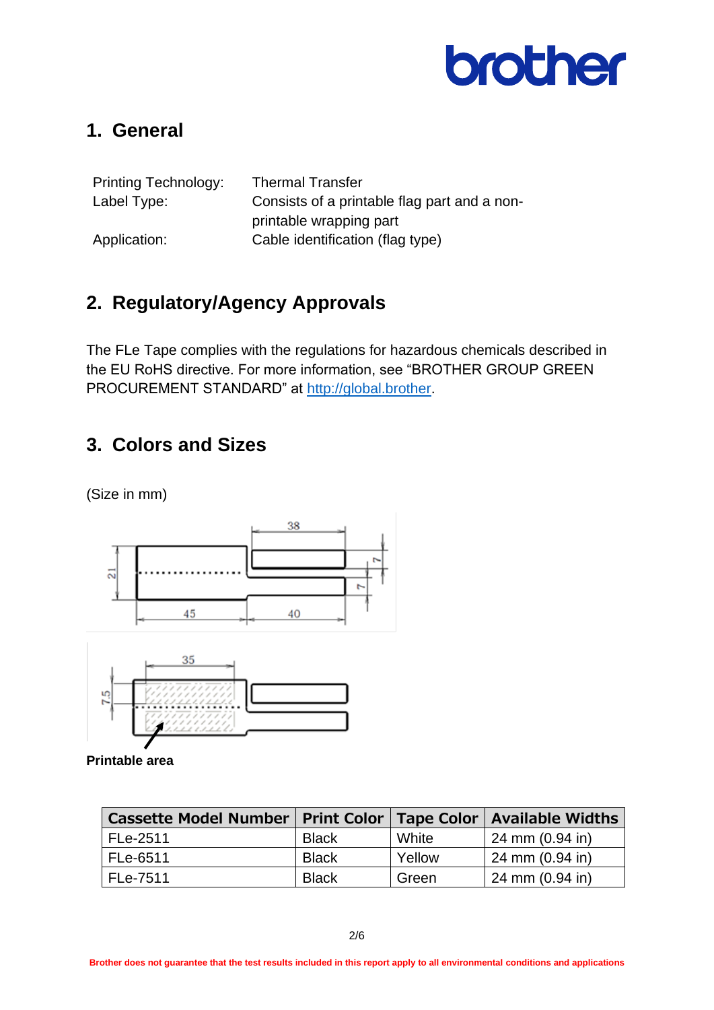

## <span id="page-1-0"></span>**1. General**

| <b>Printing Technology:</b> | <b>Thermal Transfer</b>                      |
|-----------------------------|----------------------------------------------|
| Label Type:                 | Consists of a printable flag part and a non- |
|                             | printable wrapping part                      |
| Application:                | Cable identification (flag type)             |

## <span id="page-1-1"></span>**2. Regulatory/Agency Approvals**

The FLe Tape complies with the regulations for hazardous chemicals described in the EU RoHS directive. For more information, see "BROTHER GROUP GREEN PROCUREMENT STANDARD" at [http://global.brother.](http://global.brother/)

## <span id="page-1-2"></span>**3. Colors and Sizes**

(Size in mm)





**Printable area**

| <b>Cassette Model Number   Print Color  </b> |              |        | <b>Tape Color   Available Widths</b> |
|----------------------------------------------|--------------|--------|--------------------------------------|
| FLe-2511                                     | <b>Black</b> | White  | 24 mm (0.94 in)                      |
| FLe-6511                                     | <b>Black</b> | Yellow | $ 24 \text{ mm}$ (0.94 in)           |
| FLe-7511                                     | <b>Black</b> | Green  | 24 mm (0.94 in)                      |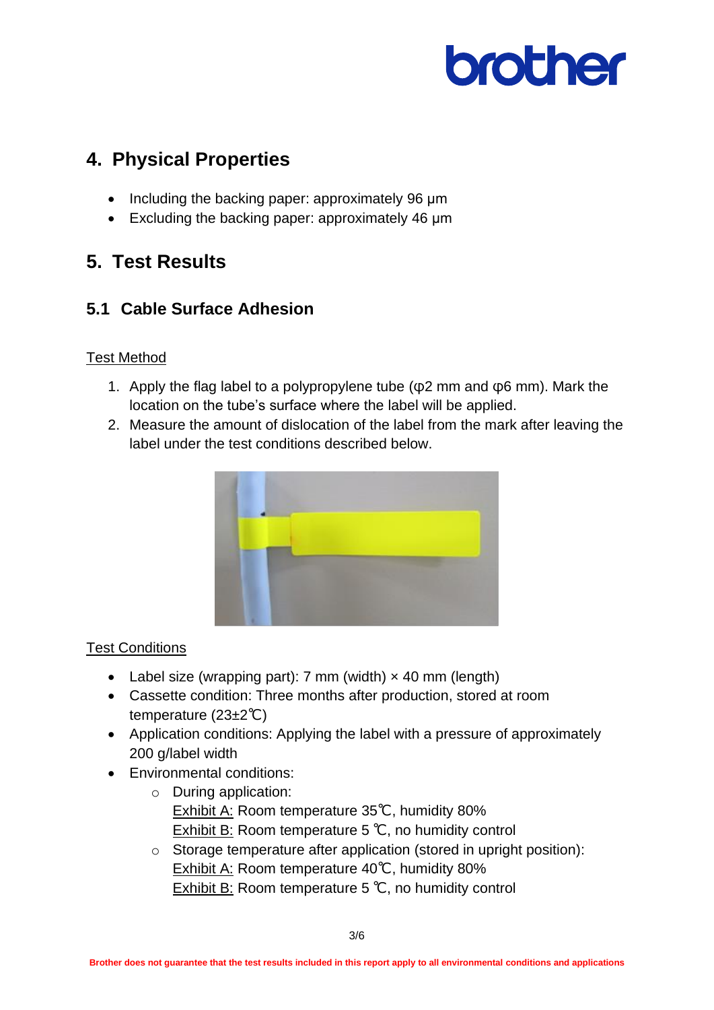

# <span id="page-2-0"></span>**4. Physical Properties**

- Including the backing paper: approximately 96 μm
- Excluding the backing paper: approximately 46 um

# <span id="page-2-1"></span>**5. Test Results**

## <span id="page-2-2"></span>**5.1 Cable Surface Adhesion**

#### Test Method

- 1. Apply the flag label to a polypropylene tube (φ2 mm and φ6 mm). Mark the location on the tube's surface where the label will be applied.
- 2. Measure the amount of dislocation of the label from the mark after leaving the label under the test conditions described below.



#### Test Conditions

- Label size (wrapping part): 7 mm (width)  $\times$  40 mm (length)
- Cassette condition: Three months after production, stored at room temperature (23±2℃)
- Application conditions: Applying the label with a pressure of approximately 200 g/label width
- Environmental conditions:
	- o During application: Exhibit A: Room temperature 35℃, humidity 80% Exhibit B: Room temperature 5 ℃, no humidity control
	- o Storage temperature after application (stored in upright position): Exhibit A: Room temperature 40℃, humidity 80% Exhibit B: Room temperature 5 ℃, no humidity control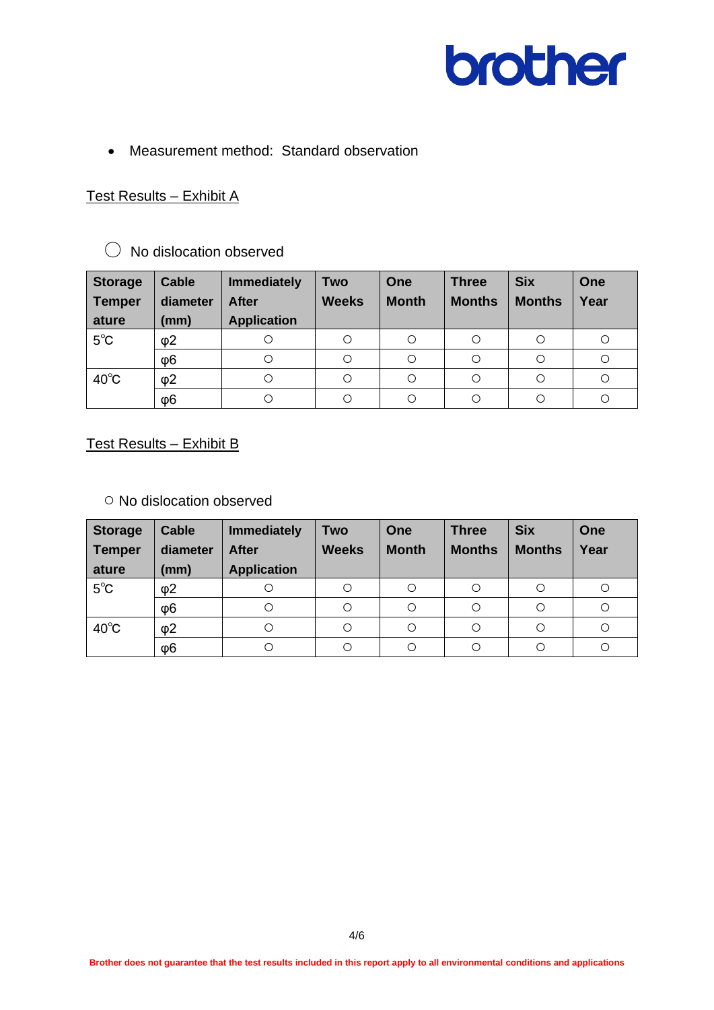

• Measurement method: Standard observation

#### Test Results – Exhibit A

#### ○ No dislocation observed

| <b>Storage</b> | <b>Cable</b> | <b>Immediately</b> | Two          | One          | <b>Three</b>  | <b>Six</b>    | <b>One</b> |
|----------------|--------------|--------------------|--------------|--------------|---------------|---------------|------------|
| Temper         | diameter     | <b>After</b>       | <b>Weeks</b> | <b>Month</b> | <b>Months</b> | <b>Months</b> | Year       |
| ature          | (mm)         | <b>Application</b> |              |              |               |               |            |
| $5^{\circ}$ C  | $\varphi$ 2  | С                  |              |              | O             |               |            |
|                | $\varphi$ 6  | С                  |              | О            | $\circ$       |               |            |
| $40^{\circ}$ C | $\varphi$ 2  | О                  | Ω            |              | $\circ$       | О             | O          |
|                | $\varphi$ 6  | С                  |              |              |               |               |            |

Test Results – Exhibit B

○ No dislocation observed

| <b>Storage</b> | <b>Cable</b> | <b>Immediately</b> | <b>Two</b>   | One          | <b>Three</b>  | <b>Six</b>    | <b>One</b> |
|----------------|--------------|--------------------|--------------|--------------|---------------|---------------|------------|
| <b>Temper</b>  | diameter     | <b>After</b>       | <b>Weeks</b> | <b>Month</b> | <b>Months</b> | <b>Months</b> | Year       |
| ature          | (mm)         | <b>Application</b> |              |              |               |               |            |
| $5^{\circ}$ C  | $\varphi$ 2  | O                  |              | O            | O             |               | O          |
|                | $\varphi$ 6  | $\circ$            |              | Ο            | $\circ$       |               | O          |
| $40^{\circ}$ C | $\varphi$ 2  | $\circ$            |              | O            | $\circ$       |               | О          |
|                | Φ6           | Ω                  |              | O            | ∩             |               | O          |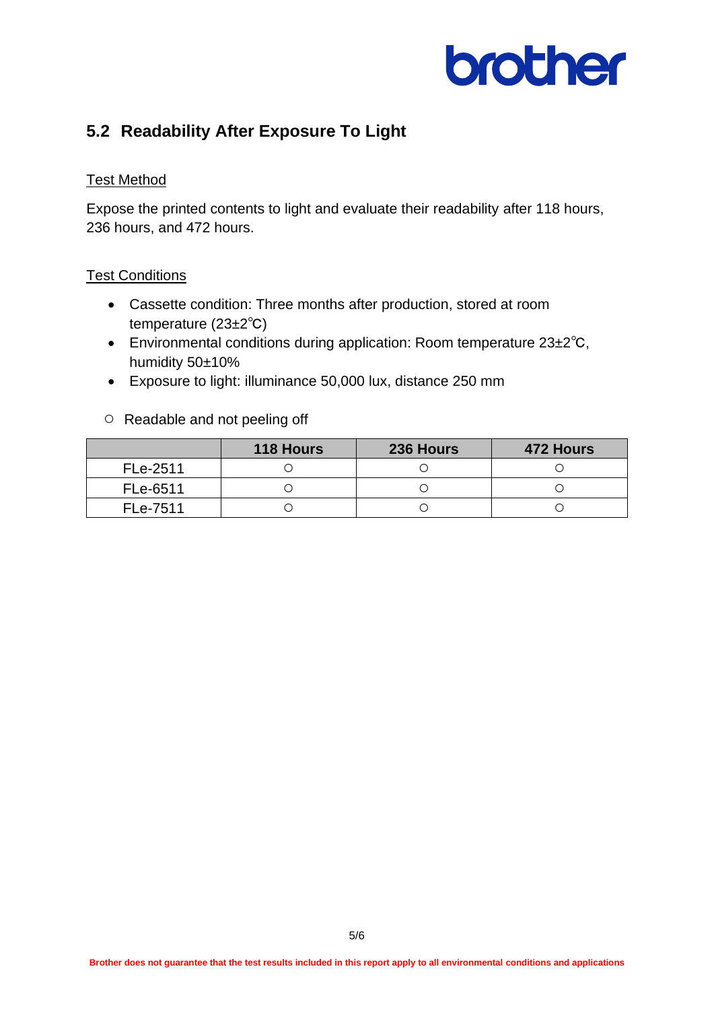

## <span id="page-4-0"></span>**5.2 Readability After Exposure To Light**

#### Test Method

Expose the printed contents to light and evaluate their readability after 118 hours, 236 hours, and 472 hours.

#### **Test Conditions**

- Cassette condition: Three months after production, stored at room temperature (23±2℃)
- Environmental conditions during application: Room temperature 23±2℃, humidity 50±10%
- Exposure to light: illuminance 50,000 lux, distance 250 mm
- Readable and not peeling off

|          | <b>118 Hours</b> | 236 Hours | 472 Hours |
|----------|------------------|-----------|-----------|
| FLe-2511 |                  |           |           |
| FLe-6511 |                  |           |           |
| FLe-7511 |                  |           |           |